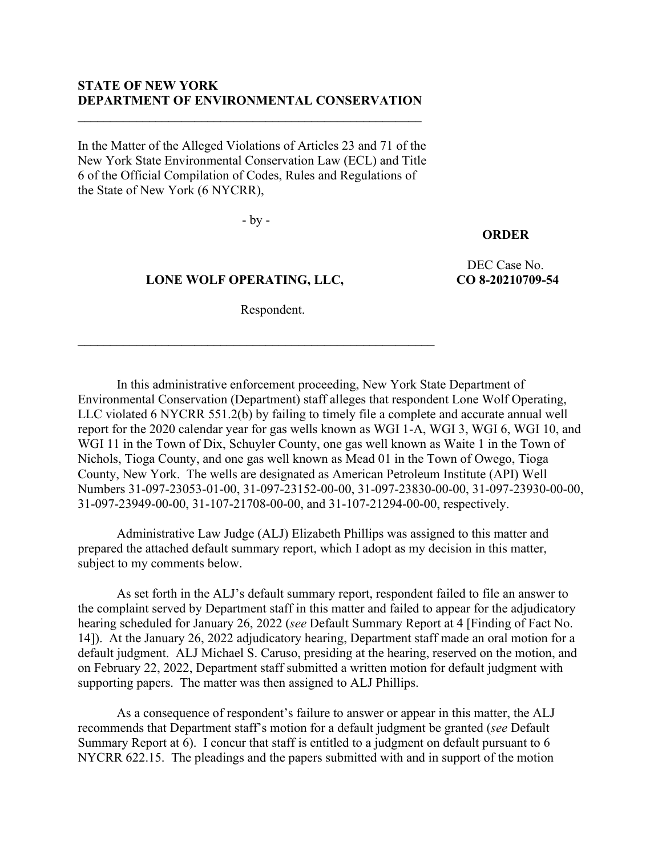# **STATE OF NEW YORK DEPARTMENT OF ENVIRONMENTAL CONSERVATION**

**\_\_\_\_\_\_\_\_\_\_\_\_\_\_\_\_\_\_\_\_\_\_\_\_\_\_\_\_\_\_\_\_\_\_\_\_\_\_\_\_\_\_\_\_\_\_\_\_\_\_\_\_\_**

In the Matter of the Alleged Violations of Articles 23 and 71 of the New York State Environmental Conservation Law (ECL) and Title 6 of the Official Compilation of Codes, Rules and Regulations of the State of New York (6 NYCRR),

- by -

# **ORDER**

 **LONE WOLF OPERATING, LLC,**

**\_\_\_\_\_\_\_\_\_\_\_\_\_\_\_\_\_\_\_\_\_\_\_\_\_\_\_\_\_\_\_\_\_\_\_\_\_\_\_\_\_\_\_\_\_\_\_\_\_\_\_\_\_\_\_**

DEC Case No. **CO 8-20210709-54**

Respondent.

In this administrative enforcement proceeding, New York State Department of Environmental Conservation (Department) staff alleges that respondent Lone Wolf Operating, LLC violated 6 NYCRR 551.2(b) by failing to timely file a complete and accurate annual well report for the 2020 calendar year for gas wells known as WGI 1-A, WGI 3, WGI 6, WGI 10, and WGI 11 in the Town of Dix, Schuyler County, one gas well known as Waite 1 in the Town of Nichols, Tioga County, and one gas well known as Mead 01 in the Town of Owego, Tioga County, New York. The wells are designated as American Petroleum Institute (API) Well Numbers 31-097-23053-01-00, 31-097-23152-00-00, 31-097-23830-00-00, 31-097-23930-00-00, 31-097-23949-00-00, 31-107-21708-00-00, and 31-107-21294-00-00, respectively.

Administrative Law Judge (ALJ) Elizabeth Phillips was assigned to this matter and prepared the attached default summary report, which I adopt as my decision in this matter, subject to my comments below.

As set forth in the ALJ's default summary report, respondent failed to file an answer to the complaint served by Department staff in this matter and failed to appear for the adjudicatory hearing scheduled for January 26, 2022 (*see* Default Summary Report at 4 [Finding of Fact No. 14]). At the January 26, 2022 adjudicatory hearing, Department staff made an oral motion for a default judgment. ALJ Michael S. Caruso, presiding at the hearing, reserved on the motion, and on February 22, 2022, Department staff submitted a written motion for default judgment with supporting papers. The matter was then assigned to ALJ Phillips.

As a consequence of respondent's failure to answer or appear in this matter, the ALJ recommends that Department staff's motion for a default judgment be granted (*see* Default Summary Report at 6). I concur that staff is entitled to a judgment on default pursuant to 6 NYCRR 622.15. The pleadings and the papers submitted with and in support of the motion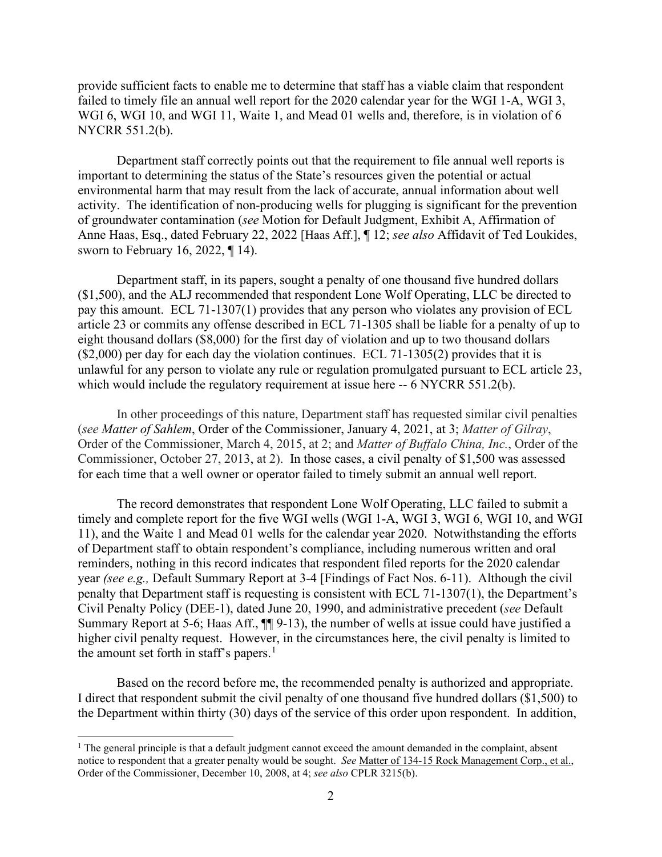provide sufficient facts to enable me to determine that staff has a viable claim that respondent failed to timely file an annual well report for the 2020 calendar year for the WGI 1-A, WGI 3, WGI 6, WGI 10, and WGI 11, Waite 1, and Mead 01 wells and, therefore, is in violation of 6 NYCRR 551.2(b).

Department staff correctly points out that the requirement to file annual well reports is important to determining the status of the State's resources given the potential or actual environmental harm that may result from the lack of accurate, annual information about well activity. The identification of non-producing wells for plugging is significant for the prevention of groundwater contamination (*see* Motion for Default Judgment, Exhibit A, Affirmation of Anne Haas, Esq., dated February 22, 2022 [Haas Aff.], ¶ 12; *see also* Affidavit of Ted Loukides, sworn to February 16, 2022, ¶ 14).

Department staff, in its papers, sought a penalty of one thousand five hundred dollars (\$1,500), and the ALJ recommended that respondent Lone Wolf Operating, LLC be directed to pay this amount. ECL 71-1307(1) provides that any person who violates any provision of ECL article 23 or commits any offense described in ECL 71-1305 shall be liable for a penalty of up to eight thousand dollars (\$8,000) for the first day of violation and up to two thousand dollars (\$2,000) per day for each day the violation continues. ECL 71-1305(2) provides that it is unlawful for any person to violate any rule or regulation promulgated pursuant to ECL article 23, which would include the regulatory requirement at issue here -- 6 NYCRR 551.2(b).

In other proceedings of this nature, Department staff has requested similar civil penalties (*see Matter of Sahlem*, Order of the Commissioner, January 4, 2021, at 3; *Matter of Gilray*, Order of the Commissioner, March 4, 2015, at 2; and *Matter of Buffalo China, Inc.*, Order of the Commissioner, October 27, 2013, at 2). In those cases, a civil penalty of \$1,500 was assessed for each time that a well owner or operator failed to timely submit an annual well report.

The record demonstrates that respondent Lone Wolf Operating, LLC failed to submit a timely and complete report for the five WGI wells (WGI 1-A, WGI 3, WGI 6, WGI 10, and WGI 11), and the Waite 1 and Mead 01 wells for the calendar year 2020. Notwithstanding the efforts of Department staff to obtain respondent's compliance, including numerous written and oral reminders, nothing in this record indicates that respondent filed reports for the 2020 calendar year *(see e.g.,* Default Summary Report at 3-4 [Findings of Fact Nos. 6-11). Although the civil penalty that Department staff is requesting is consistent with ECL 71-1307(1), the Department's Civil Penalty Policy (DEE-1), dated June 20, 1990, and administrative precedent (*see* Default Summary Report at 5-6; Haas Aff.,  $\P\P$  9-13), the number of wells at issue could have justified a higher civil penalty request. However, in the circumstances here, the civil penalty is limited to the amount set forth in staff's papers.<sup>[1](#page-1-0)</sup>

Based on the record before me, the recommended penalty is authorized and appropriate. I direct that respondent submit the civil penalty of one thousand five hundred dollars (\$1,500) to the Department within thirty (30) days of the service of this order upon respondent. In addition,

<span id="page-1-0"></span> $<sup>1</sup>$  The general principle is that a default judgment cannot exceed the amount demanded in the complaint, absent</sup> notice to respondent that a greater penalty would be sought. *See* Matter of 134-15 Rock Management Corp., et al., Order of the Commissioner, December 10, 2008, at 4; *see also* CPLR 3215(b).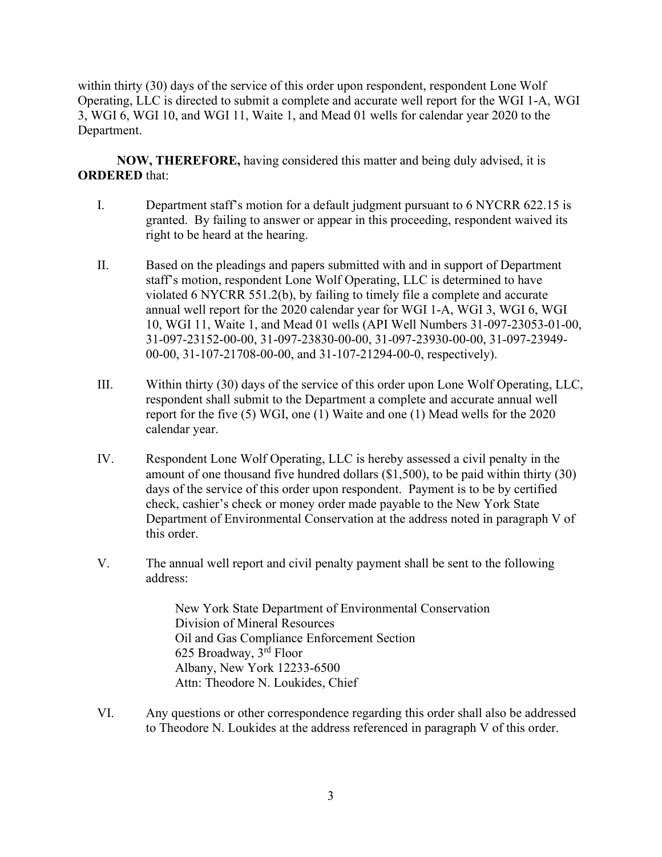within thirty (30) days of the service of this order upon respondent, respondent Lone Wolf Operating, LLC is directed to submit a complete and accurate well report for the WGI 1-A, WGI 3, WGI 6, WGI 10, and WGI 11, Waite 1, and Mead 01 wells for calendar year 2020 to the Department.

**NOW, THEREFORE,** having considered this matter and being duly advised, it is **ORDERED** that:

- I. Department staff's motion for a default judgment pursuant to 6 NYCRR 622.15 is granted. By failing to answer or appear in this proceeding, respondent waived its right to be heard at the hearing.
- II. Based on the pleadings and papers submitted with and in support of Department staff's motion, respondent Lone Wolf Operating, LLC is determined to have violated 6 NYCRR 551.2(b), by failing to timely file a complete and accurate annual well report for the 2020 calendar year for WGI 1-A, WGI 3, WGI 6, WGI 10, WGI 11, Waite 1, and Mead 01 wells (API Well Numbers 31-097-23053-01-00, 31-097-23152-00-00, 31-097-23830-00-00, 31-097-23930-00-00, 31-097-23949- 00-00, 31-107-21708-00-00, and 31-107-21294-00-0, respectively).
- III. Within thirty (30) days of the service of this order upon Lone Wolf Operating, LLC, respondent shall submit to the Department a complete and accurate annual well report for the five (5) WGI, one (1) Waite and one (1) Mead wells for the 2020 calendar year.
- IV. Respondent Lone Wolf Operating, LLC is hereby assessed a civil penalty in the amount of one thousand five hundred dollars (\$1,500), to be paid within thirty (30) days of the service of this order upon respondent. Payment is to be by certified check, cashier's check or money order made payable to the New York State Department of Environmental Conservation at the address noted in paragraph V of this order.
- V. The annual well report and civil penalty payment shall be sent to the following address:

New York State Department of Environmental Conservation Division of Mineral Resources Oil and Gas Compliance Enforcement Section 625 Broadway, 3rd Floor Albany, New York 12233-6500 Attn: Theodore N. Loukides, Chief

VI. Any questions or other correspondence regarding this order shall also be addressed to Theodore N. Loukides at the address referenced in paragraph V of this order.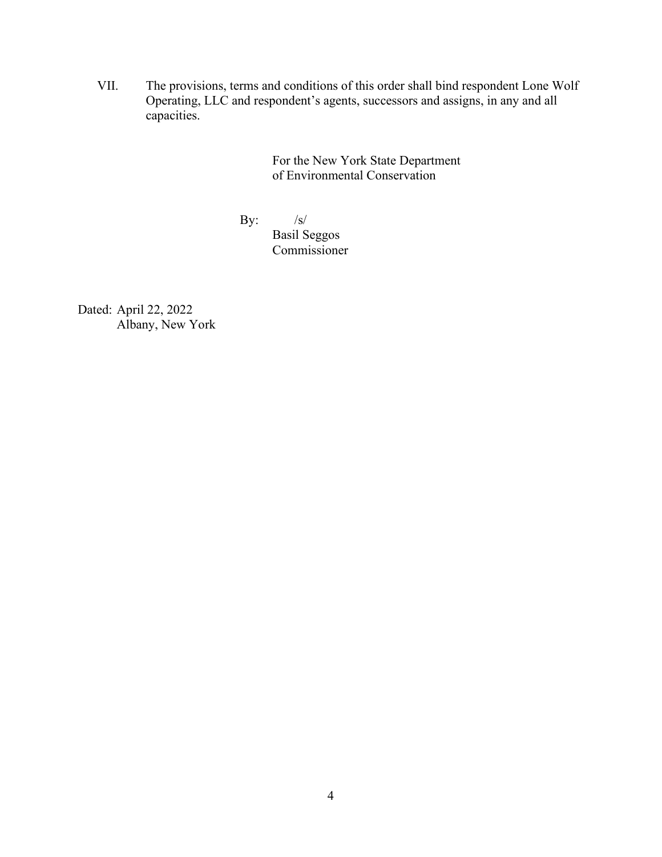VII. The provisions, terms and conditions of this order shall bind respondent Lone Wolf Operating, LLC and respondent's agents, successors and assigns, in any and all capacities.

> For the New York State Department of Environmental Conservation

By:  $/s/$ 

Basil Seggos Commissioner

Dated: April 22, 2022 Albany, New York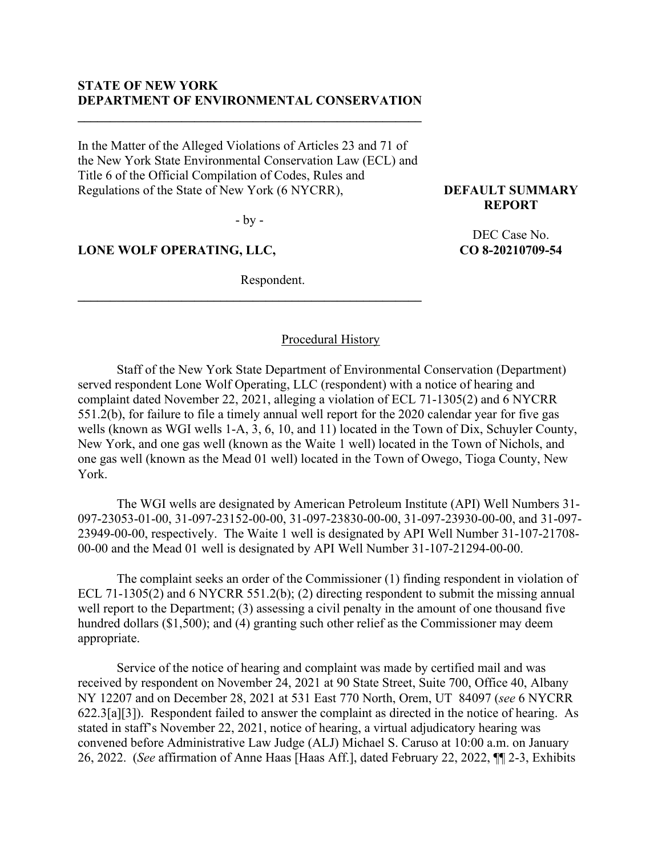#### **STATE OF NEW YORK DEPARTMENT OF ENVIRONMENTAL CONSERVATION**

**\_\_\_\_\_\_\_\_\_\_\_\_\_\_\_\_\_\_\_\_\_\_\_\_\_\_\_\_\_\_\_\_\_\_\_\_\_\_\_\_\_\_\_\_\_\_\_\_\_\_\_\_\_**

In the Matter of the Alleged Violations of Articles 23 and 71 of the New York State Environmental Conservation Law (ECL) and Title 6 of the Official Compilation of Codes, Rules and Regulations of the State of New York (6 NYCRR),

- by -

**\_\_\_\_\_\_\_\_\_\_\_\_\_\_\_\_\_\_\_\_\_\_\_\_\_\_\_\_\_\_\_\_\_\_\_\_\_\_\_\_\_\_\_\_\_\_\_\_\_\_\_\_\_**

#### **LONE WOLF OPERATING, LLC,**

Respondent.

**DEFAULT SUMMARY REPORT**

> DEC Case No. **CO 8-20210709-54**

#### Procedural History

Staff of the New York State Department of Environmental Conservation (Department) served respondent Lone Wolf Operating, LLC (respondent) with a notice of hearing and complaint dated November 22, 2021, alleging a violation of ECL 71-1305(2) and 6 NYCRR 551.2(b), for failure to file a timely annual well report for the 2020 calendar year for five gas wells (known as WGI wells 1-A, 3, 6, 10, and 11) located in the Town of Dix, Schuyler County, New York, and one gas well (known as the Waite 1 well) located in the Town of Nichols, and one gas well (known as the Mead 01 well) located in the Town of Owego, Tioga County, New York.

The WGI wells are designated by American Petroleum Institute (API) Well Numbers 31- 097-23053-01-00, 31-097-23152-00-00, 31-097-23830-00-00, 31-097-23930-00-00, and 31-097- 23949-00-00, respectively. The Waite 1 well is designated by API Well Number 31-107-21708- 00-00 and the Mead 01 well is designated by API Well Number 31-107-21294-00-00.

The complaint seeks an order of the Commissioner (1) finding respondent in violation of ECL 71-1305(2) and 6 NYCRR 551.2(b); (2) directing respondent to submit the missing annual well report to the Department; (3) assessing a civil penalty in the amount of one thousand five hundred dollars (\$1,500); and (4) granting such other relief as the Commissioner may deem appropriate.

Service of the notice of hearing and complaint was made by certified mail and was received by respondent on November 24, 2021 at 90 State Street, Suite 700, Office 40, Albany NY 12207 and on December 28, 2021 at 531 East 770 North, Orem, UT 84097 (*see* 6 NYCRR 622.3[a][3]). Respondent failed to answer the complaint as directed in the notice of hearing. As stated in staff's November 22, 2021, notice of hearing, a virtual adjudicatory hearing was convened before Administrative Law Judge (ALJ) Michael S. Caruso at 10:00 a.m. on January 26, 2022. (*See* affirmation of Anne Haas [Haas Aff.], dated February 22, 2022, ¶¶ 2-3, Exhibits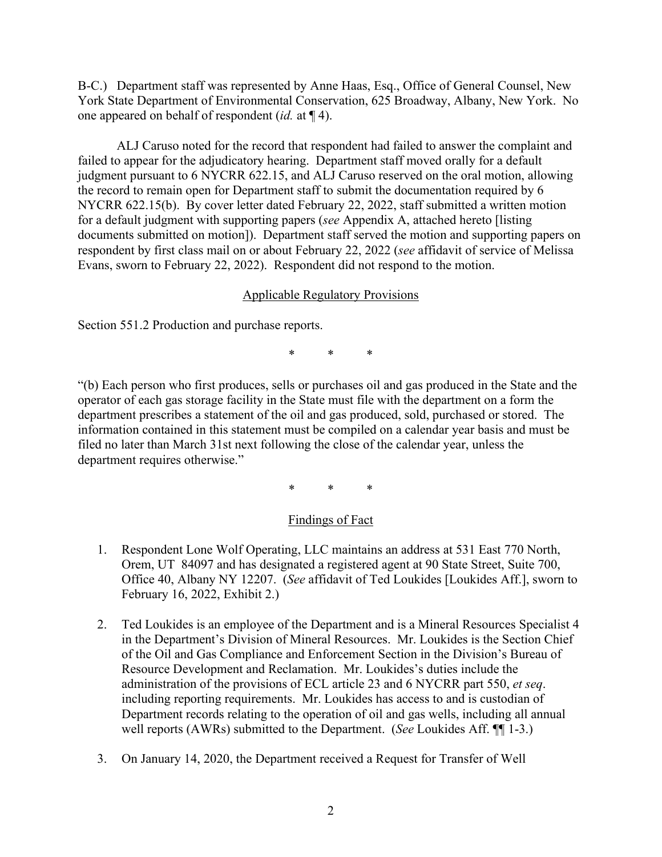B-C.) Department staff was represented by Anne Haas, Esq., Office of General Counsel, New York State Department of Environmental Conservation, 625 Broadway, Albany, New York. No one appeared on behalf of respondent (*id.* at ¶ 4).

ALJ Caruso noted for the record that respondent had failed to answer the complaint and failed to appear for the adjudicatory hearing. Department staff moved orally for a default judgment pursuant to 6 NYCRR 622.15, and ALJ Caruso reserved on the oral motion, allowing the record to remain open for Department staff to submit the documentation required by 6 NYCRR 622.15(b). By cover letter dated February 22, 2022, staff submitted a written motion for a default judgment with supporting papers (*see* Appendix A, attached hereto [listing documents submitted on motion]). Department staff served the motion and supporting papers on respondent by first class mail on or about February 22, 2022 (*see* affidavit of service of Melissa Evans, sworn to February 22, 2022). Respondent did not respond to the motion.

# Applicable Regulatory Provisions

Section 551.2 Production and purchase reports.

\* \* \*

"(b) Each person who first produces, sells or purchases oil and gas produced in the State and the operator of each gas storage facility in the State must file with the department on a form the department prescribes a statement of the oil and gas produced, sold, purchased or stored. The information contained in this statement must be compiled on a calendar year basis and must be filed no later than March 31st next following the close of the calendar year, unless the department requires otherwise."

\* \* \*

# Findings of Fact

- 1. Respondent Lone Wolf Operating, LLC maintains an address at 531 East 770 North, Orem, UT 84097 and has designated a registered agent at 90 State Street, Suite 700, Office 40, Albany NY 12207. (*See* affidavit of Ted Loukides [Loukides Aff.], sworn to February 16, 2022, Exhibit 2.)
- 2. Ted Loukides is an employee of the Department and is a Mineral Resources Specialist 4 in the Department's Division of Mineral Resources. Mr. Loukides is the Section Chief of the Oil and Gas Compliance and Enforcement Section in the Division's Bureau of Resource Development and Reclamation. Mr. Loukides's duties include the administration of the provisions of ECL article 23 and 6 NYCRR part 550, *et seq*. including reporting requirements. Mr. Loukides has access to and is custodian of Department records relating to the operation of oil and gas wells, including all annual well reports (AWRs) submitted to the Department. (*See* Loukides Aff. ¶¶ 1-3.)
- 3. On January 14, 2020, the Department received a Request for Transfer of Well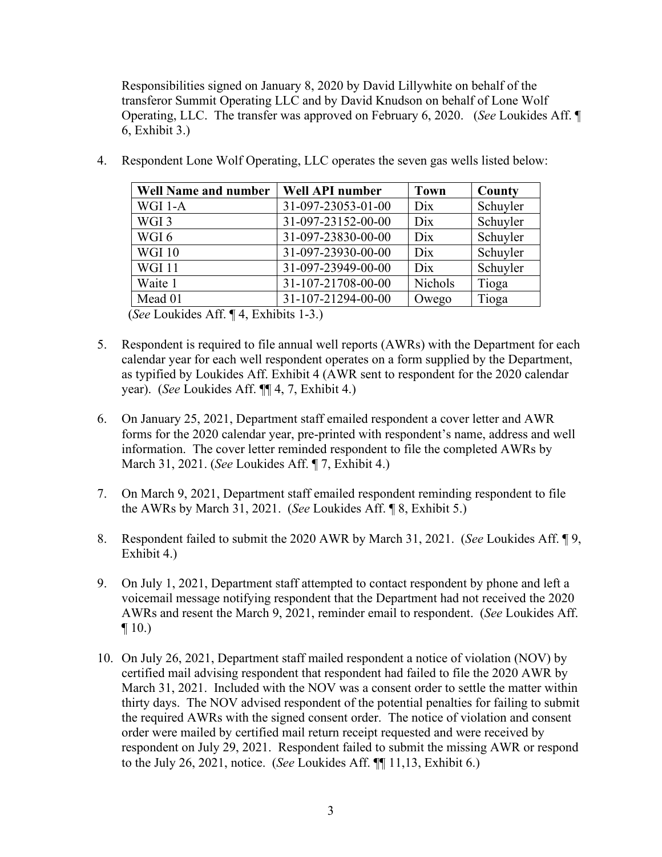Responsibilities signed on January 8, 2020 by David Lillywhite on behalf of the transferor Summit Operating LLC and by David Knudson on behalf of Lone Wolf Operating, LLC. The transfer was approved on February 6, 2020. (*See* Loukides Aff. ¶ 6, Exhibit 3.)

| <b>Well Name and number</b> | <b>Well API number</b> | <b>Town</b>    | County   |
|-----------------------------|------------------------|----------------|----------|
| WGI 1-A                     | 31-097-23053-01-00     | Dix            | Schuyler |
| WGI <sub>3</sub>            | 31-097-23152-00-00     | Dix            | Schuyler |
| WGI6                        | 31-097-23830-00-00     | Dix            | Schuyler |
| <b>WGI 10</b>               | 31-097-23930-00-00     | Dix            | Schuyler |
| <b>WGI11</b>                | 31-097-23949-00-00     | Dix            | Schuyler |
| Waite 1                     | 31-107-21708-00-00     | <b>Nichols</b> | Tioga    |
| Mead 01                     | 31-107-21294-00-00     | Owego          | Tioga    |

4. Respondent Lone Wolf Operating, LLC operates the seven gas wells listed below:

(*See* Loukides Aff. ¶ 4, Exhibits 1-3.)

- 5. Respondent is required to file annual well reports (AWRs) with the Department for each calendar year for each well respondent operates on a form supplied by the Department, as typified by Loukides Aff. Exhibit 4 (AWR sent to respondent for the 2020 calendar year). (*See* Loukides Aff. ¶¶ 4, 7, Exhibit 4.)
- 6. On January 25, 2021, Department staff emailed respondent a cover letter and AWR forms for the 2020 calendar year, pre-printed with respondent's name, address and well information. The cover letter reminded respondent to file the completed AWRs by March 31, 2021. (*See* Loukides Aff. ¶ 7, Exhibit 4.)
- 7. On March 9, 2021, Department staff emailed respondent reminding respondent to file the AWRs by March 31, 2021. (*See* Loukides Aff. ¶ 8, Exhibit 5.)
- 8. Respondent failed to submit the 2020 AWR by March 31, 2021. (*See* Loukides Aff. ¶ 9, Exhibit 4.)
- 9. On July 1, 2021, Department staff attempted to contact respondent by phone and left a voicemail message notifying respondent that the Department had not received the 2020 AWRs and resent the March 9, 2021, reminder email to respondent. (*See* Loukides Aff.  $\P$  10.)
- 10. On July 26, 2021, Department staff mailed respondent a notice of violation (NOV) by certified mail advising respondent that respondent had failed to file the 2020 AWR by March 31, 2021. Included with the NOV was a consent order to settle the matter within thirty days. The NOV advised respondent of the potential penalties for failing to submit the required AWRs with the signed consent order. The notice of violation and consent order were mailed by certified mail return receipt requested and were received by respondent on July 29, 2021. Respondent failed to submit the missing AWR or respond to the July 26, 2021, notice. (*See* Loukides Aff. ¶¶ 11,13, Exhibit 6.)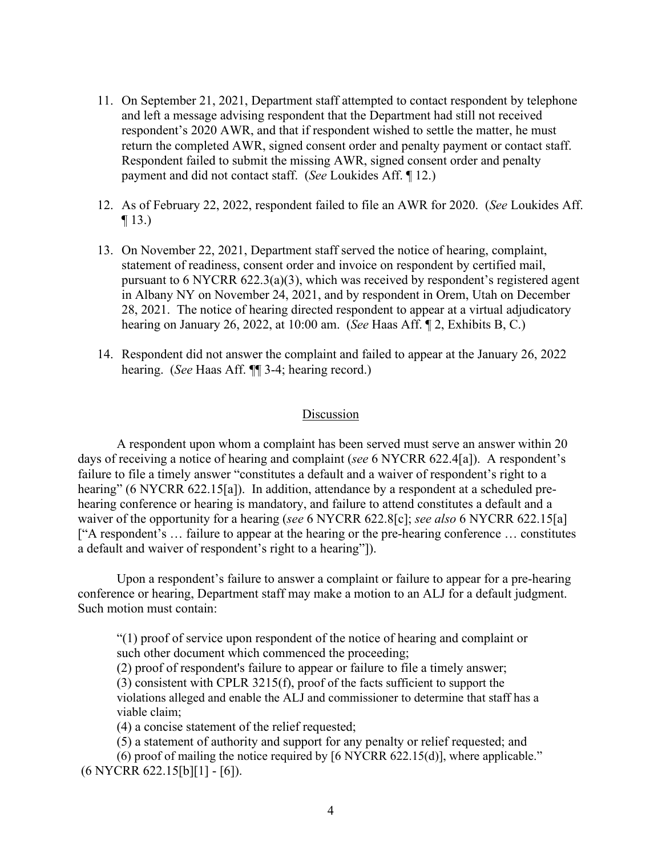- 11. On September 21, 2021, Department staff attempted to contact respondent by telephone and left a message advising respondent that the Department had still not received respondent's 2020 AWR, and that if respondent wished to settle the matter, he must return the completed AWR, signed consent order and penalty payment or contact staff. Respondent failed to submit the missing AWR, signed consent order and penalty payment and did not contact staff. (*See* Loukides Aff. ¶ 12.)
- 12. As of February 22, 2022, respondent failed to file an AWR for 2020. (*See* Loukides Aff.  $\P$  13.)
- 13. On November 22, 2021, Department staff served the notice of hearing, complaint, statement of readiness, consent order and invoice on respondent by certified mail, pursuant to 6 NYCRR 622.3(a)(3), which was received by respondent's registered agent in Albany NY on November 24, 2021, and by respondent in Orem, Utah on December 28, 2021. The notice of hearing directed respondent to appear at a virtual adjudicatory hearing on January 26, 2022, at 10:00 am. (*See* Haas Aff. ¶ 2, Exhibits B, C.)
- 14. Respondent did not answer the complaint and failed to appear at the January 26, 2022 hearing. (*See* Haas Aff. ¶¶ 3-4; hearing record.)

#### Discussion

A respondent upon whom a complaint has been served must serve an answer within 20 days of receiving a notice of hearing and complaint (*see* 6 NYCRR 622.4[a]). A respondent's failure to file a timely answer "constitutes a default and a waiver of respondent's right to a hearing" (6 NYCRR 622.15[a]). In addition, attendance by a respondent at a scheduled prehearing conference or hearing is mandatory, and failure to attend constitutes a default and a waiver of the opportunity for a hearing (*see* 6 NYCRR 622.8[c]; *see also* 6 NYCRR 622.15[a] ["A respondent's … failure to appear at the hearing or the pre-hearing conference … constitutes a default and waiver of respondent's right to a hearing"]).

Upon a respondent's failure to answer a complaint or failure to appear for a pre-hearing conference or hearing, Department staff may make a motion to an ALJ for a default judgment. Such motion must contain:

"(1) proof of service upon respondent of the notice of hearing and complaint or such other document which commenced the proceeding;

(2) proof of respondent's failure to appear or failure to file a timely answer;

(3) consistent with CPLR 3215(f), proof of the facts sufficient to support the

violations alleged and enable the ALJ and commissioner to determine that staff has a viable claim;

(4) a concise statement of the relief requested;

(5) a statement of authority and support for any penalty or relief requested; and

(6) proof of mailing the notice required by [6 NYCRR 622.15(d)], where applicable." (6 NYCRR 622.15[b][1] - [6]).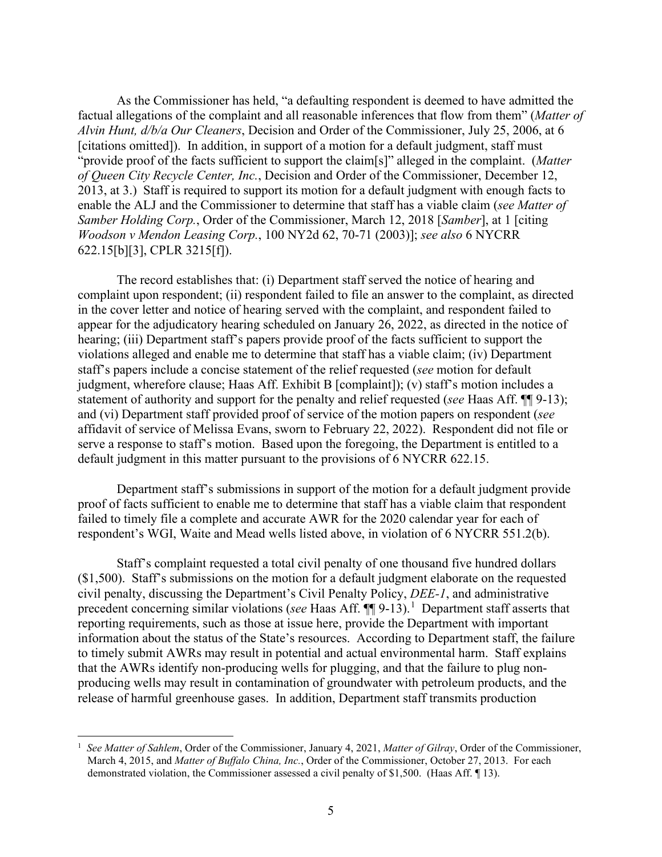As the Commissioner has held, "a defaulting respondent is deemed to have admitted the factual allegations of the complaint and all reasonable inferences that flow from them" (*Matter of Alvin Hunt, d/b/a Our Cleaners*, Decision and Order of the Commissioner, July 25, 2006, at 6 [citations omitted]). In addition, in support of a motion for a default judgment, staff must "provide proof of the facts sufficient to support the claim[s]" alleged in the complaint. (*Matter of Queen City Recycle Center, Inc.*, Decision and Order of the Commissioner, December 12, 2013, at 3.) Staff is required to support its motion for a default judgment with enough facts to enable the ALJ and the Commissioner to determine that staff has a viable claim (*see Matter of Samber Holding Corp.*, Order of the Commissioner, March 12, 2018 [*Samber*], at 1 [citing *Woodson v Mendon Leasing Corp.*, 100 NY2d 62, 70-71 (2003)]; *see also* 6 NYCRR 622.15[b][3], CPLR 3215[f]).

The record establishes that: (i) Department staff served the notice of hearing and complaint upon respondent; (ii) respondent failed to file an answer to the complaint, as directed in the cover letter and notice of hearing served with the complaint, and respondent failed to appear for the adjudicatory hearing scheduled on January 26, 2022, as directed in the notice of hearing; (iii) Department staff's papers provide proof of the facts sufficient to support the violations alleged and enable me to determine that staff has a viable claim; (iv) Department staff's papers include a concise statement of the relief requested (*see* motion for default judgment, wherefore clause; Haas Aff. Exhibit B [complaint]); (v) staff's motion includes a statement of authority and support for the penalty and relief requested (*see* Haas Aff. ¶¶ 9-13); and (vi) Department staff provided proof of service of the motion papers on respondent (*see* affidavit of service of Melissa Evans, sworn to February 22, 2022). Respondent did not file or serve a response to staff's motion. Based upon the foregoing, the Department is entitled to a default judgment in this matter pursuant to the provisions of 6 NYCRR 622.15.

Department staff's submissions in support of the motion for a default judgment provide proof of facts sufficient to enable me to determine that staff has a viable claim that respondent failed to timely file a complete and accurate AWR for the 2020 calendar year for each of respondent's WGI, Waite and Mead wells listed above, in violation of 6 NYCRR 551.2(b).

Staff's complaint requested a total civil penalty of one thousand five hundred dollars (\$1,500). Staff's submissions on the motion for a default judgment elaborate on the requested civil penalty, discussing the Department's Civil Penalty Policy, *DEE-1*, and administrative precedent concerning similar violations (*see* Haas Aff.  $\P\P$ 9-[1](#page-8-0)3).<sup>1</sup> Department staff asserts that reporting requirements, such as those at issue here, provide the Department with important information about the status of the State's resources. According to Department staff, the failure to timely submit AWRs may result in potential and actual environmental harm. Staff explains that the AWRs identify non-producing wells for plugging, and that the failure to plug nonproducing wells may result in contamination of groundwater with petroleum products, and the release of harmful greenhouse gases. In addition, Department staff transmits production

<span id="page-8-0"></span><sup>1</sup> *See Matter of Sahlem*, Order of the Commissioner, January 4, 2021, *Matter of Gilray*, Order of the Commissioner, March 4, 2015, and *Matter of Buffalo China, Inc.*, Order of the Commissioner, October 27, 2013. For each demonstrated violation, the Commissioner assessed a civil penalty of \$1,500. (Haas Aff. ¶ 13).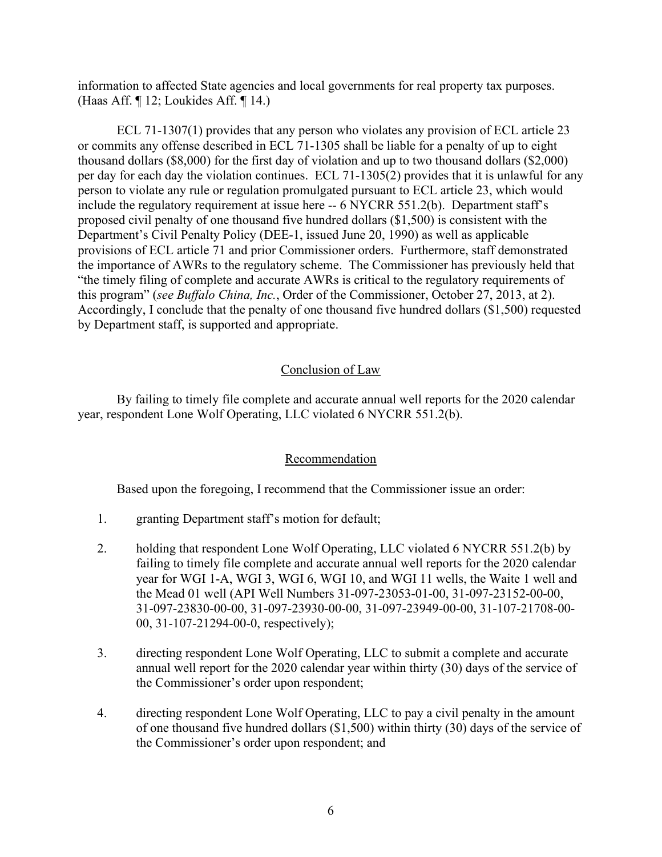information to affected State agencies and local governments for real property tax purposes. (Haas Aff. ¶ 12; Loukides Aff. ¶ 14.)

ECL 71-1307(1) provides that any person who violates any provision of ECL article 23 or commits any offense described in ECL 71-1305 shall be liable for a penalty of up to eight thousand dollars (\$8,000) for the first day of violation and up to two thousand dollars (\$2,000) per day for each day the violation continues. ECL 71-1305(2) provides that it is unlawful for any person to violate any rule or regulation promulgated pursuant to ECL article 23, which would include the regulatory requirement at issue here -- 6 NYCRR 551.2(b). Department staff's proposed civil penalty of one thousand five hundred dollars (\$1,500) is consistent with the Department's Civil Penalty Policy (DEE-1, issued June 20, 1990) as well as applicable provisions of ECL article 71 and prior Commissioner orders. Furthermore, staff demonstrated the importance of AWRs to the regulatory scheme. The Commissioner has previously held that "the timely filing of complete and accurate AWRs is critical to the regulatory requirements of this program" (*see Buffalo China, Inc.*, Order of the Commissioner, October 27, 2013, at 2). Accordingly, I conclude that the penalty of one thousand five hundred dollars (\$1,500) requested by Department staff, is supported and appropriate.

# Conclusion of Law

By failing to timely file complete and accurate annual well reports for the 2020 calendar year, respondent Lone Wolf Operating, LLC violated 6 NYCRR 551.2(b).

# Recommendation

Based upon the foregoing, I recommend that the Commissioner issue an order:

- 1. granting Department staff's motion for default;
- 2. holding that respondent Lone Wolf Operating, LLC violated 6 NYCRR 551.2(b) by failing to timely file complete and accurate annual well reports for the 2020 calendar year for WGI 1-A, WGI 3, WGI 6, WGI 10, and WGI 11 wells, the Waite 1 well and the Mead 01 well (API Well Numbers 31-097-23053-01-00, 31-097-23152-00-00, 31-097-23830-00-00, 31-097-23930-00-00, 31-097-23949-00-00, 31-107-21708-00- 00, 31-107-21294-00-0, respectively);
- 3. directing respondent Lone Wolf Operating, LLC to submit a complete and accurate annual well report for the 2020 calendar year within thirty (30) days of the service of the Commissioner's order upon respondent;
- 4. directing respondent Lone Wolf Operating, LLC to pay a civil penalty in the amount of one thousand five hundred dollars (\$1,500) within thirty (30) days of the service of the Commissioner's order upon respondent; and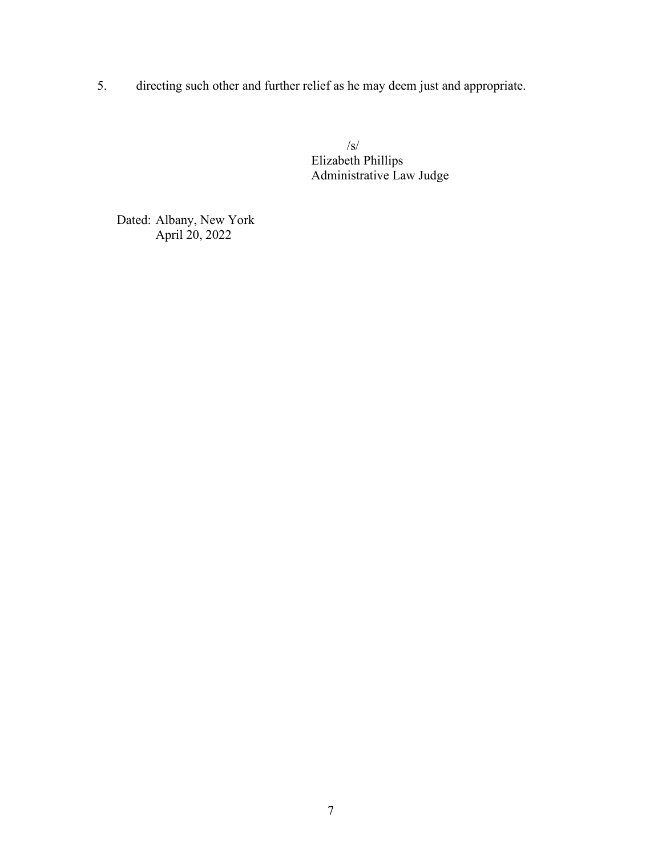5. directing such other and further relief as he may deem just and appropriate.

 /s/ Elizabeth Phillips Administrative Law Judge

Dated: Albany, New York April 20, 2022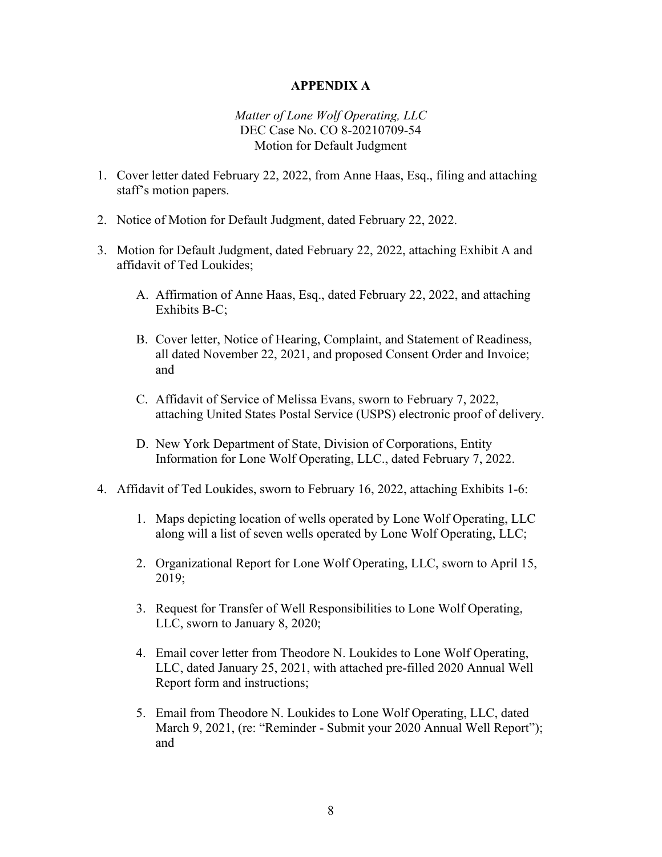#### **APPENDIX A**

# *Matter of Lone Wolf Operating, LLC*  DEC Case No. CO 8-20210709-54 Motion for Default Judgment

- 1. Cover letter dated February 22, 2022, from Anne Haas, Esq., filing and attaching staff's motion papers.
- 2. Notice of Motion for Default Judgment, dated February 22, 2022.
- 3. Motion for Default Judgment, dated February 22, 2022, attaching Exhibit A and affidavit of Ted Loukides;
	- A. Affirmation of Anne Haas, Esq., dated February 22, 2022, and attaching Exhibits B-C;
	- B. Cover letter, Notice of Hearing, Complaint, and Statement of Readiness, all dated November 22, 2021, and proposed Consent Order and Invoice; and
	- C. Affidavit of Service of Melissa Evans, sworn to February 7, 2022, attaching United States Postal Service (USPS) electronic proof of delivery.
	- D. New York Department of State, Division of Corporations, Entity Information for Lone Wolf Operating, LLC., dated February 7, 2022.
- 4. Affidavit of Ted Loukides, sworn to February 16, 2022, attaching Exhibits 1-6:
	- 1. Maps depicting location of wells operated by Lone Wolf Operating, LLC along will a list of seven wells operated by Lone Wolf Operating, LLC;
	- 2. Organizational Report for Lone Wolf Operating, LLC, sworn to April 15, 2019;
	- 3. Request for Transfer of Well Responsibilities to Lone Wolf Operating, LLC, sworn to January 8, 2020;
	- 4. Email cover letter from Theodore N. Loukides to Lone Wolf Operating, LLC, dated January 25, 2021, with attached pre-filled 2020 Annual Well Report form and instructions;
	- 5. Email from Theodore N. Loukides to Lone Wolf Operating, LLC, dated March 9, 2021, (re: "Reminder - Submit your 2020 Annual Well Report"); and